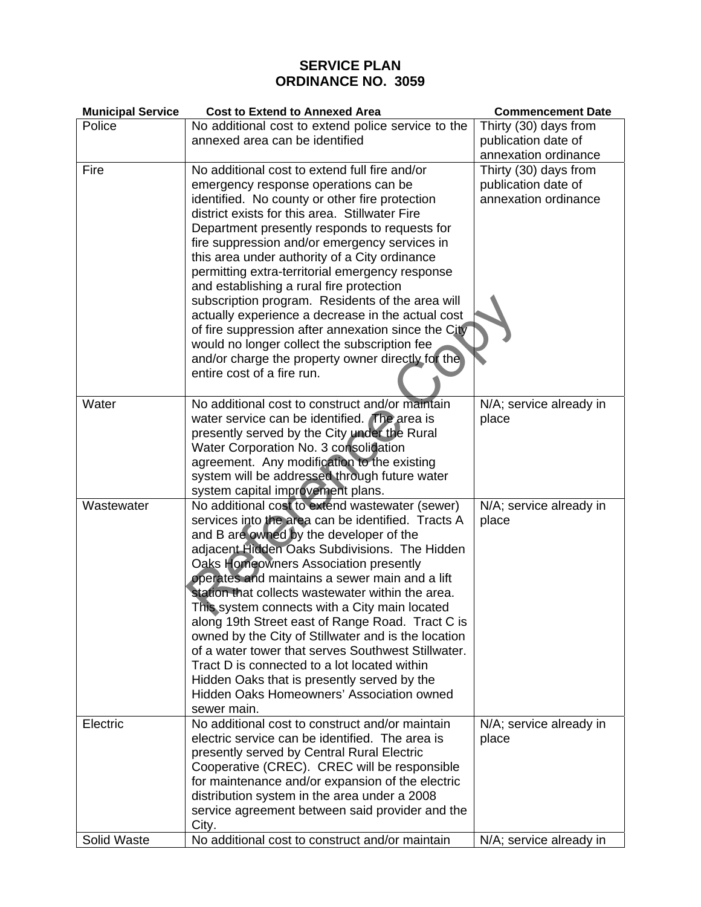## **SERVICE PLAN ORDINANCE NO. 3059**

| <b>Municipal Service</b> | <b>Cost to Extend to Annexed Area</b>                                                            | <b>Commencement Date</b> |
|--------------------------|--------------------------------------------------------------------------------------------------|--------------------------|
| Police                   | No additional cost to extend police service to the                                               | Thirty (30) days from    |
|                          | annexed area can be identified                                                                   | publication date of      |
|                          |                                                                                                  | annexation ordinance     |
| Fire                     | No additional cost to extend full fire and/or                                                    | Thirty (30) days from    |
|                          | emergency response operations can be                                                             | publication date of      |
|                          | identified. No county or other fire protection                                                   | annexation ordinance     |
|                          | district exists for this area. Stillwater Fire                                                   |                          |
|                          | Department presently responds to requests for                                                    |                          |
|                          | fire suppression and/or emergency services in                                                    |                          |
|                          | this area under authority of a City ordinance<br>permitting extra-territorial emergency response |                          |
|                          | and establishing a rural fire protection                                                         |                          |
|                          | subscription program. Residents of the area will                                                 |                          |
|                          | actually experience a decrease in the actual cost                                                |                          |
|                          | of fire suppression after annexation since the City                                              |                          |
|                          | would no longer collect the subscription fee                                                     |                          |
|                          | and/or charge the property owner directly for the                                                |                          |
|                          | entire cost of a fire run.                                                                       |                          |
|                          |                                                                                                  |                          |
| Water                    | No additional cost to construct and/or maintain                                                  | N/A; service already in  |
|                          | water service can be identified. The area is                                                     | place                    |
|                          | presently served by the City under the Rural                                                     |                          |
|                          | Water Corporation No. 3 consolidation                                                            |                          |
|                          | agreement. Any modification to the existing                                                      |                          |
|                          | system will be addressed through future water                                                    |                          |
| Wastewater               | system capital improvement plans.<br>No additional cost to extend wastewater (sewer)             | N/A; service already in  |
|                          | services into the area can be identified. Tracts A                                               | place                    |
|                          | and B are owned by the developer of the                                                          |                          |
|                          | adjacent Hidden Oaks Subdivisions. The Hidden                                                    |                          |
|                          | Oaks Homeowners Association presently                                                            |                          |
|                          | operates and maintains a sewer main and a lift                                                   |                          |
|                          | station that collects wastewater within the area.                                                |                          |
|                          | This system connects with a City main located                                                    |                          |
|                          | along 19th Street east of Range Road. Tract C is                                                 |                          |
|                          | owned by the City of Stillwater and is the location                                              |                          |
|                          | of a water tower that serves Southwest Stillwater.                                               |                          |
|                          | Tract D is connected to a lot located within                                                     |                          |
|                          | Hidden Oaks that is presently served by the<br>Hidden Oaks Homeowners' Association owned         |                          |
|                          | sewer main.                                                                                      |                          |
| Electric                 | No additional cost to construct and/or maintain                                                  | N/A; service already in  |
|                          | electric service can be identified. The area is                                                  | place                    |
|                          | presently served by Central Rural Electric                                                       |                          |
|                          | Cooperative (CREC). CREC will be responsible                                                     |                          |
|                          | for maintenance and/or expansion of the electric                                                 |                          |
|                          | distribution system in the area under a 2008                                                     |                          |
|                          | service agreement between said provider and the                                                  |                          |
|                          | City.                                                                                            |                          |
| Solid Waste              | No additional cost to construct and/or maintain                                                  | N/A; service already in  |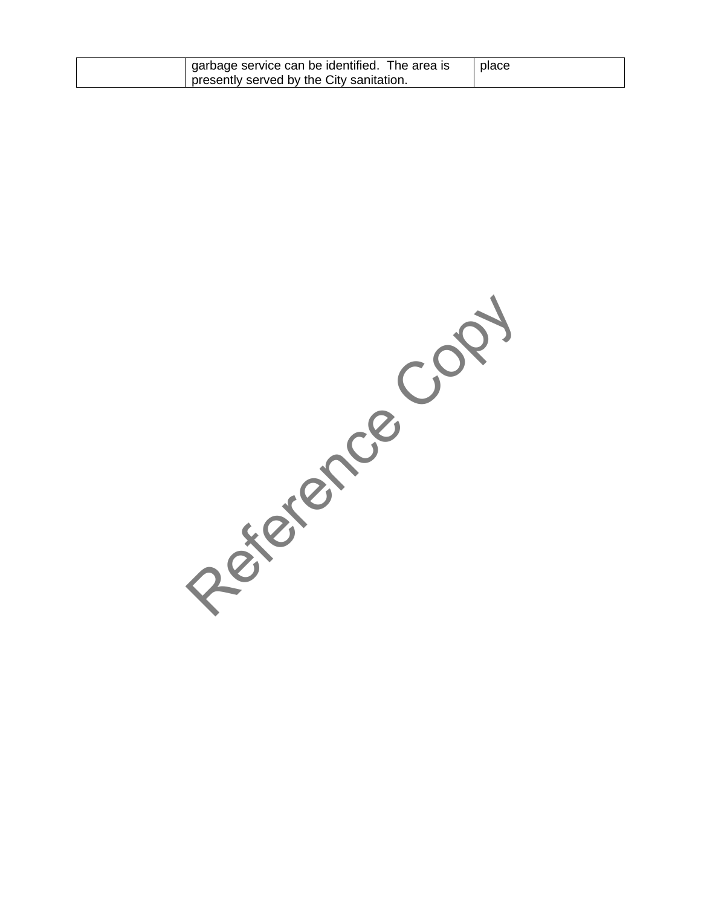| I garbage service can be identified. The area is<br>presently served by the City sanitation. | place |
|----------------------------------------------------------------------------------------------|-------|
|                                                                                              |       |

Reference Copy